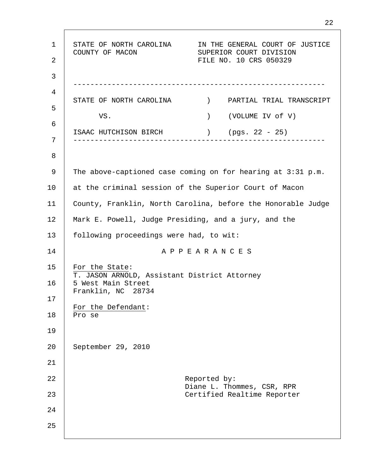1 2 3 4 5 6 7 8 9 10 11 12 13 14 15 16 17 18 19 20 21 22 23 24 25 STATE OF NORTH CAROLINA IN THE GENERAL COURT OF JUSTICE COUNTY OF MACON SUPERIOR COURT DIVISION FILE NO. 10 CRS 050329 ----------------------------------------------------------- STATE OF NORTH CAROLINA ) PARTIAL TRIAL TRANSCRIPT VS. (VOLUME IV of V) ISAAC HUTCHISON BIRCH ) (pgs. 22 - 25) ----------------------------------------------------------- The above-captioned case coming on for hearing at 3:31 p.m. at the criminal session of the Superior Court of Macon County, Franklin, North Carolina, before the Honorable Judge Mark E. Powell, Judge Presiding, and a jury, and the following proceedings were had, to wit: A P P E A R A N C E S For the State: T. JASON ARNOLD, Assistant District Attorney 5 West Main Street Franklin, NC 28734 For the Defendant: Pro se September 29, 2010 Reported by: Diane L. Thommes, CSR, RPR Certified Realtime Reporter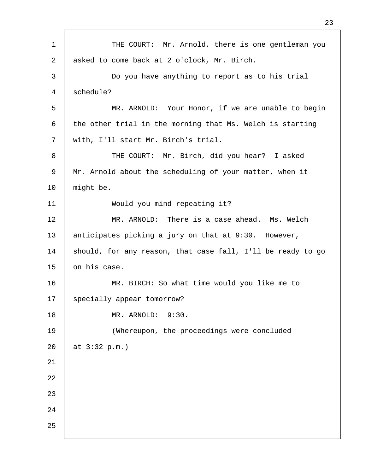1 2 3 4 5 6 7 8 9 10 11 12 13 14 15 16 17 18 19 20 21 22 23 24 25 THE COURT: Mr. Arnold, there is one gentleman you asked to come back at 2 o'clock, Mr. Birch. Do you have anything to report as to his trial schedule? MR. ARNOLD: Your Honor, if we are unable to begin the other trial in the morning that Ms. Welch is starting with, I'll start Mr. Birch's trial. THE COURT: Mr. Birch, did you hear? I asked Mr. Arnold about the scheduling of your matter, when it might be. Would you mind repeating it? MR. ARNOLD: There is a case ahead. Ms. Welch anticipates picking a jury on that at 9:30. However, should, for any reason, that case fall, I'll be ready to go on his case. MR. BIRCH: So what time would you like me to specially appear tomorrow? MR. ARNOLD: 9:30. (Whereupon, the proceedings were concluded at 3:32 p.m.)

23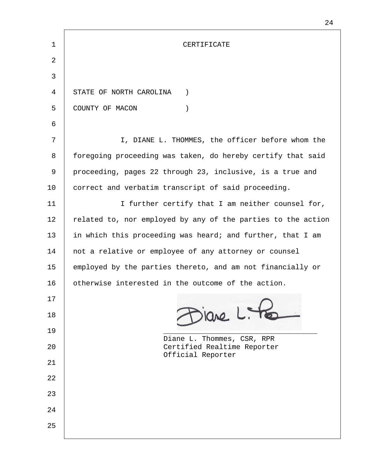| 1  | CERTIFICATE                                                  |  |
|----|--------------------------------------------------------------|--|
| 2  |                                                              |  |
| 3  |                                                              |  |
| 4  | STATE OF NORTH CAROLINA<br>$\left( \right)$                  |  |
| 5  | COUNTY OF MACON<br>$\mathcal{C}$                             |  |
| 6  |                                                              |  |
| 7  | I, DIANE L. THOMMES, the officer before whom the             |  |
| 8  | foregoing proceeding was taken, do hereby certify that said  |  |
| 9  | proceeding, pages 22 through 23, inclusive, is a true and    |  |
| 10 | correct and verbatim transcript of said proceeding.          |  |
| 11 | I further certify that I am neither counsel for,             |  |
| 12 | related to, nor employed by any of the parties to the action |  |
| 13 | in which this proceeding was heard; and further, that I am   |  |
| 14 | not a relative or employee of any attorney or counsel        |  |
| 15 | employed by the parties thereto, and am not financially or   |  |
| 16 | otherwise interested in the outcome of the action.           |  |
| 17 |                                                              |  |
| 18 | siare L. Pes                                                 |  |
| 19 | Diane L. Thommes, CSR, RPR                                   |  |
| 20 | Certified Realtime Reporter<br>Official Reporter             |  |
| 21 |                                                              |  |
| 22 |                                                              |  |
| 23 |                                                              |  |
| 24 |                                                              |  |
| 25 |                                                              |  |